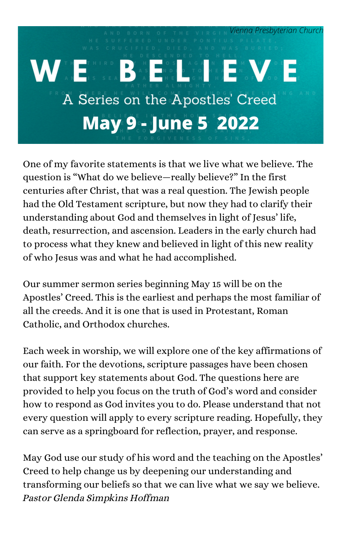

One of my favorite statements is that we live what we believe. The question is "What do we believe—really believe?" In the first centuries after Christ, that was a real question. The Jewish people had the Old Testament scripture, but now they had to clarify their understanding about God and themselves in light of Jesus' life, death, resurrection, and ascension. Leaders in the early church had to process what they knew and believed in light of this new reality of who Jesus was and what he had accomplished.

Our summer sermon series beginning May 15 will be on the Apostles' Creed. This is the earliest and perhaps the most familiar of all the creeds. And it is one that is used in Protestant, Roman Catholic, and Orthodox churches.

Each week in worship, we will explore one of the key affirmations of our faith. For the devotions, scripture passages have been chosen that support key statements about God. The questions here are provided to help you focus on the truth of God's word and consider how to respond as God invites you to do. Please understand that not every question will apply to every scripture reading. Hopefully, they can serve as a springboard for reflection, prayer, and response.

May God use our study of his word and the teaching on the Apostles' Creed to help change us by deepening our understanding and transforming our beliefs so that we can live what we say we believe. Pastor Glenda Simpkins Hoffman